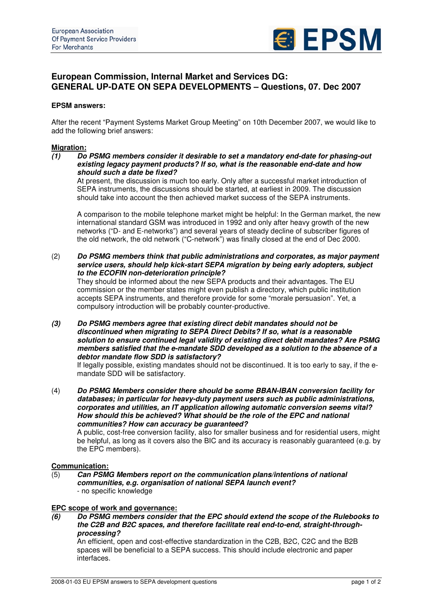

# **European Commission, Internal Market and Services DG: GENERAL UP-DATE ON SEPA DEVELOPMENTS – Questions, 07. Dec 2007**

## **EPSM answers:**

After the recent "Payment Systems Market Group Meeting" on 10th December 2007, we would like to add the following brief answers:

# **Migration:**<br>(1) Do

*(1) Do PSMG members consider it desirable to set a mandatory end-date for phasing-out existing legacy payment products? If so, what is the reasonable end-date and how should such a date be fixed?*

At present, the discussion is much too early. Only after a successful market introduction of SEPA instruments, the discussions should be started, at earliest in 2009. The discussion should take into account the then achieved market success of the SEPA instruments.

A comparison to the mobile telephone market might be helpful: In the German market, the new international standard GSM was introduced in 1992 and only after heavy growth of the new networks ("D- and E-networks") and several years of steady decline of subscriber figures of the old network, the old network ("C-network") was finally closed at the end of Dec 2000.

(2) *Do PSMG members think that public administrations and corporates, as major payment service users, should help kick-start SEPA migration by being early adopters, subject to the ECOFIN non-deterioration principle?*

They should be informed about the new SEPA products and their advantages. The EU commission or the member states might even publish a directory, which public institution accepts SEPA instruments, and therefore provide for some "morale persuasion". Yet, a compulsory introduction will be probably counter-productive.

*(3) Do PSMG members agree that existing direct debit mandates should not be discontinued when migrating to SEPA Direct Debits? If so, what is a reasonable solution to ensure continued legal validity of existing direct debit mandates? Are PSMG members satisfied that the e-mandate SDD developed as a solution to the absence of a debtor mandate flow SDD is satisfactory?*

If legally possible, existing mandates should not be discontinued. It is too early to say, if the emandate SDD will be satisfactory.

(4) *Do PSMG Members consider there should be some BBAN-IBAN conversion facility for databases; in particular for heavy-duty payment users such as public administrations, corporates and utilities, an IT application allowing automatic conversion seems vital? How should this be achieved? What should be the role of the EPC and national communities? How can accuracy be guaranteed?*

A public, cost-free conversion facility, also for smaller business and for residential users, might be helpful, as long as it covers also the BIC and its accuracy is reasonably guaranteed (e.g. by the EPC members).

#### **Communication:**

(5) *Can PSMG Members report on the communication plans/intentions of national communities, e.g. organisation of national SEPA launch event?* - no specific knowledge

#### **EPC scope of work and governance:**

*(6) Do PSMG members consider that the EPC should extend the scope of the Rulebooks to the C2B and B2C spaces, and therefore facilitate real end-to-end, straight-throughprocessing?*

An efficient, open and cost-effective standardization in the C2B, B2C, C2C and the B2B spaces will be beneficial to a SEPA success. This should include electronic and paper interfaces.